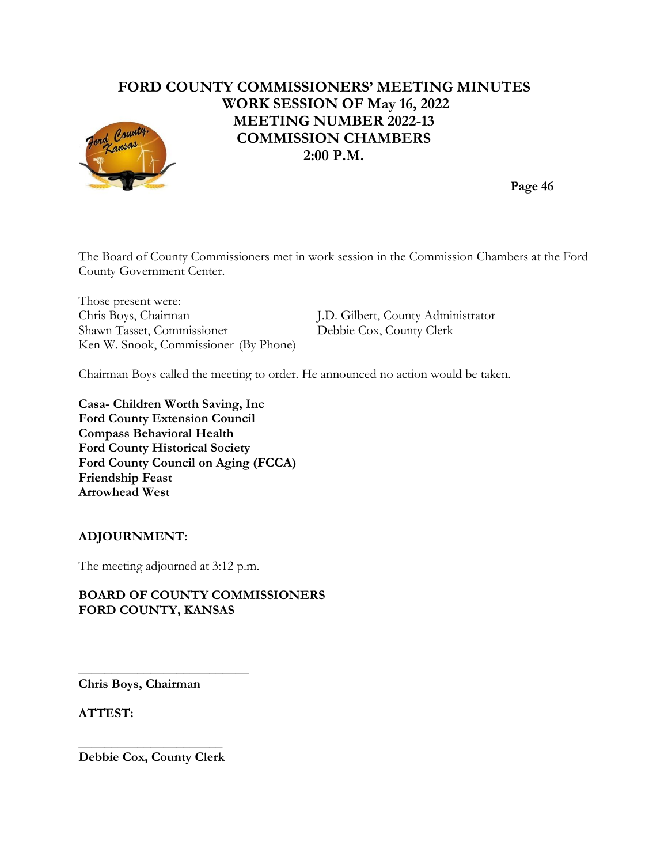# **FORD COUNTY COMMISSIONERS' MEETING MINUTES WORK SESSION OF May 16, 2022 MEETING NUMBER 2022-13 COMMISSION CHAMBERS 2:00 P.M.**



**Page 46**

The Board of County Commissioners met in work session in the Commission Chambers at the Ford County Government Center.

Those present were: Chris Boys, Chairman J.D. Gilbert, County Administrator Shawn Tasset, Commissioner Debbie Cox, County Clerk Ken W. Snook, Commissioner (By Phone)

Chairman Boys called the meeting to order. He announced no action would be taken.

**Casa- Children Worth Saving, Inc Ford County Extension Council Compass Behavioral Health Ford County Historical Society Ford County Council on Aging (FCCA) Friendship Feast Arrowhead West**

### **ADJOURNMENT:**

The meeting adjourned at 3:12 p.m.

#### **BOARD OF COUNTY COMMISSIONERS FORD COUNTY, KANSAS**

**Chris Boys, Chairman**

**\_\_\_\_\_\_\_\_\_\_\_\_\_\_\_\_\_\_\_\_\_\_\_\_\_\_**

**ATTEST:**

**\_\_\_\_\_\_\_\_\_\_\_\_\_\_\_\_\_\_\_\_\_\_ Debbie Cox, County Clerk**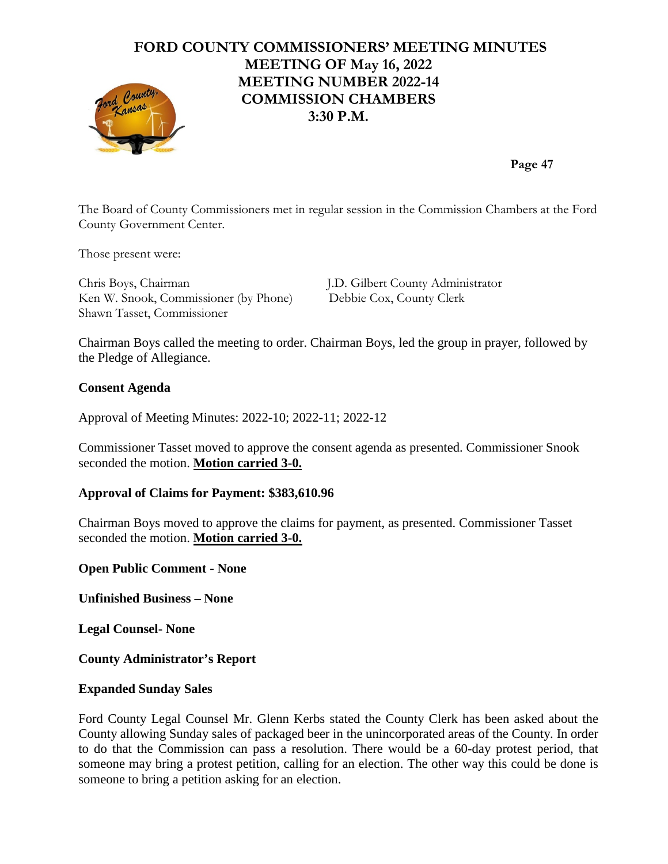#### **FORD COUNTY COMMISSIONERS' MEETING MINUTES MEETING OF May 16, 2022 MEETING NUMBER 2022-14** nd County **COMMISSION CHAMBERS 3:30 P.M.**

**Page 47**

The Board of County Commissioners met in regular session in the Commission Chambers at the Ford County Government Center.

Those present were:

Chris Boys, Chairman J.D. Gilbert County Administrator Ken W. Snook, Commissioner (by Phone) Debbie Cox, County Clerk Shawn Tasset, Commissioner

Chairman Boys called the meeting to order. Chairman Boys, led the group in prayer, followed by the Pledge of Allegiance.

#### **Consent Agenda**

Approval of Meeting Minutes: 2022-10; 2022-11; 2022-12

Commissioner Tasset moved to approve the consent agenda as presented. Commissioner Snook seconded the motion. **Motion carried 3-0.**

#### **Approval of Claims for Payment: \$383,610.96**

Chairman Boys moved to approve the claims for payment, as presented. Commissioner Tasset seconded the motion. **Motion carried 3-0.**

**Open Public Comment - None**

**Unfinished Business – None**

**Legal Counsel- None**

**County Administrator's Report**

#### **Expanded Sunday Sales**

Ford County Legal Counsel Mr. Glenn Kerbs stated the County Clerk has been asked about the County allowing Sunday sales of packaged beer in the unincorporated areas of the County. In order to do that the Commission can pass a resolution. There would be a 60-day protest period, that someone may bring a protest petition, calling for an election. The other way this could be done is someone to bring a petition asking for an election.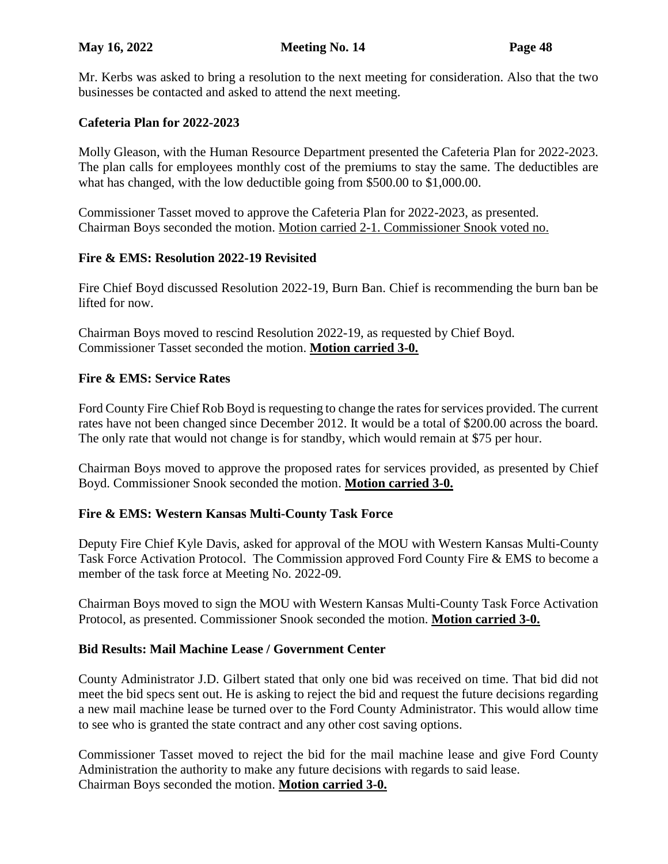Mr. Kerbs was asked to bring a resolution to the next meeting for consideration. Also that the two businesses be contacted and asked to attend the next meeting.

# **Cafeteria Plan for 2022-2023**

Molly Gleason, with the Human Resource Department presented the Cafeteria Plan for 2022-2023. The plan calls for employees monthly cost of the premiums to stay the same. The deductibles are what has changed, with the low deductible going from \$500.00 to \$1,000.00.

Commissioner Tasset moved to approve the Cafeteria Plan for 2022-2023, as presented. Chairman Boys seconded the motion. Motion carried 2-1. Commissioner Snook voted no.

### **Fire & EMS: Resolution 2022-19 Revisited**

Fire Chief Boyd discussed Resolution 2022-19, Burn Ban. Chief is recommending the burn ban be lifted for now.

Chairman Boys moved to rescind Resolution 2022-19, as requested by Chief Boyd. Commissioner Tasset seconded the motion. **Motion carried 3-0.**

### **Fire & EMS: Service Rates**

Ford County Fire Chief Rob Boyd is requesting to change the rates for services provided. The current rates have not been changed since December 2012. It would be a total of \$200.00 across the board. The only rate that would not change is for standby, which would remain at \$75 per hour.

Chairman Boys moved to approve the proposed rates for services provided, as presented by Chief Boyd. Commissioner Snook seconded the motion. **Motion carried 3-0.**

### **Fire & EMS: Western Kansas Multi-County Task Force**

Deputy Fire Chief Kyle Davis, asked for approval of the MOU with Western Kansas Multi-County Task Force Activation Protocol. The Commission approved Ford County Fire & EMS to become a member of the task force at Meeting No. 2022-09.

Chairman Boys moved to sign the MOU with Western Kansas Multi-County Task Force Activation Protocol, as presented. Commissioner Snook seconded the motion. **Motion carried 3-0.**

### **Bid Results: Mail Machine Lease / Government Center**

County Administrator J.D. Gilbert stated that only one bid was received on time. That bid did not meet the bid specs sent out. He is asking to reject the bid and request the future decisions regarding a new mail machine lease be turned over to the Ford County Administrator. This would allow time to see who is granted the state contract and any other cost saving options.

Commissioner Tasset moved to reject the bid for the mail machine lease and give Ford County Administration the authority to make any future decisions with regards to said lease. Chairman Boys seconded the motion. **Motion carried 3-0.**